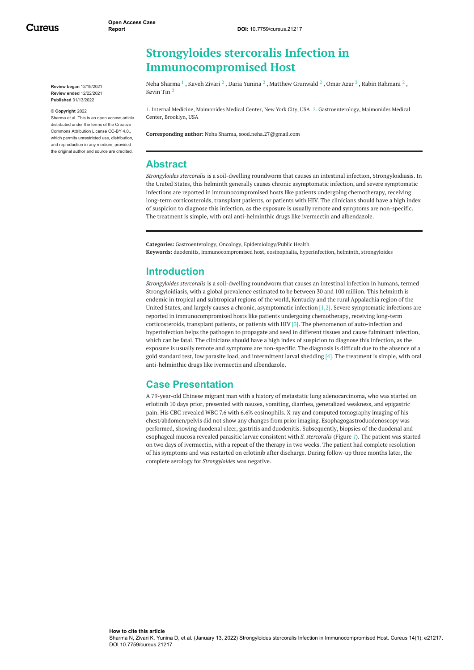Cureus

**Review began** 12/15/2021 **Review ended** 12/22/2021 **Published** 01/13/2022

#### **© Copyright** 2022

Sharma et al. This is an open access article distributed under the terms of the Creative Commons Attribution License CC-BY 4.0., which permits unrestricted use, distribution, and reproduction in any medium, provided the original author and source are credited.

# **Strongyloides stercoralis Infection in Immunocompromised Host**

Neha [Sharma](https://www.cureus.com/users/117517-neha-sharma)  $^1$  , [Kaveh](https://www.cureus.com/users/302457-kaveh-zivari) Zivari  $^2$  , Daria [Yunina](https://www.cureus.com/users/302458-daria-yunina)  $^2$  , Matthew [Grunwald](https://www.cureus.com/users/302459-matthew-grunwald)  $^2$  , [Omar](https://www.cureus.com/users/302460-omar-azar) Azar  $^2$  , Rabin [Rahmani](https://www.cureus.com/users/302461-rabin-rahmani)  $^2$  , [Kevin](https://www.cureus.com/users/302462-kevin-tin) Tin 2

1. Internal Medicine, Maimonides Medical Center, New York City, USA 2. Gastroenterology, Maimonides Medical Center, Brooklyn, USA

**Corresponding author:** Neha Sharma, sood.neha.27@gmail.com

#### **Abstract**

*Strongyloides stercoralis* is a soil-dwelling roundworm that causes an intestinal infection, Strongyloidiasis. In the United States, this helminth generally causes chronic asymptomatic infection, and severe symptomatic infections are reported in immunocompromised hosts like patients undergoing chemotherapy, receiving long-term corticosteroids, transplant patients, or patients with HIV. The clinicians should have a high index of suspicion to diagnose this infection, as the exposure is usually remote and symptoms are non-specific. The treatment is simple, with oral anti-helminthic drugs like ivermectin and albendazole.

**Categories:** Gastroenterology, Oncology, Epidemiology/Public Health **Keywords:** duodenitis, immunocompromised host, eosinophalia, hyperinfection, helminth, strongyloides

### **Introduction**

*Strongyloides stercoralis* is a soil-dwelling roundworm that causes an intestinal infection in humans, termed Strongyloidiasis, with a global prevalence estimated to be between 30 and 100 million. This helminth is endemic in tropical and subtropical regions of the world, Kentucky and the rural Appalachia region of the United States, and largely causes a chronic, asymptomatic infection  $[1,2]$ . Severe symptomatic infections are reported in immunocompromised hosts like patients undergoing chemotherapy, receiving long-term corticosteroids, transplant patients, or patients with HIV [3]. The phenomenon of auto-infection and hyperinfection helps the pathogen to propagate and seed in different tissues and cause fulminant infection, which can be fatal. The clinicians should have a high index of suspicion to diagnose this infection, as the exposure is usually remote and symptoms are non-specific. The diagnosis is difficult due to the absence of a gold standard test, low parasite load, and intermittent larval shedding  $[4]$ . The treatment is simple, with oral anti-helminthic drugs like ivermectin and albendazole.

### **Case Presentation**

A 79-year-old Chinese migrant man with a history of metastatic lung adenocarcinoma, who was started on erlotinib 10 days prior, presented with nausea, vomiting, diarrhea, generalized weakness, and epigastric pain. His CBC revealed WBC 7.6 with 6.6% eosinophils. X-ray and computed tomography imaging of his chest/abdomen/pelvis did not show any changes from prior imaging. Esophagogastroduodenoscopy was performed, showing duodenal ulcer, gastritis and duodenitis. Subsequently, biopsies of the duodenal and esophageal mucosa revealed parasitic larvae consistent with *S. stercoralis* (Figure *[1](#page-1-0)*). The patient was started on two days of ivermectin, with a repeat of the therapy in two weeks. The patient had complete resolution of his symptoms and was restarted on erlotinib after discharge. During follow-up three months later, the complete serology for *Strongyloides* was negative.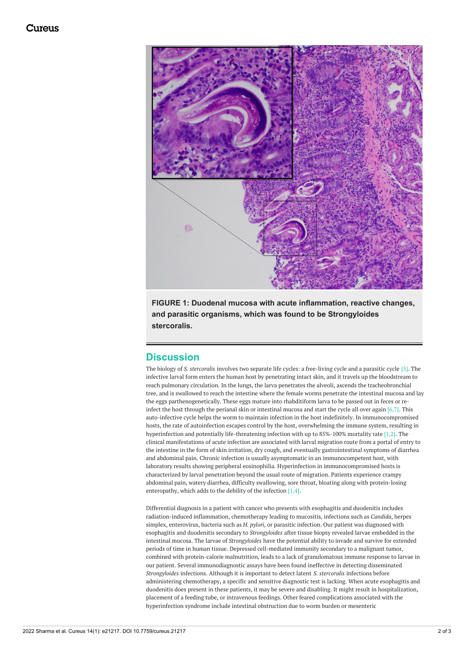<span id="page-1-0"></span>

**FIGURE 1: Duodenal mucosa with acute inflammation, reactive changes, and parasitic organisms, which was found to be Strongyloides stercoralis.**

### **Discussion**

The biology of *S. stercoralis* involves two separate life cycles: a free-living cycle and a parasitic cycle [5]. The infective larval form enters the human host by penetrating intact skin, and it travels up the bloodstream to reach pulmonary circulation. In the lungs, the larva penetrates the alveoli, ascends the tracheobronchial tree, and is swallowed to reach the intestine where the female worms penetrate the intestinal mucosa and lay the eggs parthenogenetically. These eggs mature into rhabditiform larva to be passed out in feces or reinfect the host through the perianal skin or intestinal mucosa and start the cycle all over again [6,7]. This auto-infective cycle helps the worm to maintain infection in the host indefinitely. In immunocompromised hosts, the rate of autoinfection escapes control by the host, overwhelming the immune system, resulting in hyperinfection and potentially life-threatening infection with up to 85%-100% mortality rate [1,2]. The clinical manifestations of acute infection are associated with larval migration route from a portal of entry to the intestine in the form of skin irritation, dry cough, and eventually gastrointestinal symptoms of diarrhea and abdominal pain. Chronic infection is usually asymptomatic in an immunocompetent host, with laboratory results showing peripheral eosinophilia. Hyperinfection in immunocompromised hosts is characterized by larval penetration beyond the usual route of migration. Patients experience crampy abdominal pain, watery diarrhea, difficulty swallowing, sore throat, bloating along with protein-losing enteropathy, which adds to the debility of the infection  $[1,4]$ .

Differential diagnosis in a patient with cancer who presents with esophagitis and duodenitis includes radiation-induced inflammation, chemotherapy leading to mucositis, infections such as *Candida*, herpes simplex, enterovirus, bacteria such as *H. pylori*, or parasitic infection. Our patient was diagnosed with esophagitis and duodenitis secondary to *Strongyloides* after tissue biopsy revealed larvae embedded in the intestinal mucosa. The larvae of *Strongyloides* have the potential ability to invade and survive for extended periods of time in human tissue. Depressed cell-mediated immunity secondary to a malignant tumor, combined with protein-calorie malnutrition, leads to a lack of granulomatous immune response to larvae in our patient. Several immunodiagnostic assays have been found ineffective in detecting disseminated *Strongyloides* infections. Although it is important to detect latent *S. stercoralis* infections before administering chemotherapy, a specific and sensitive diagnostic test is lacking. When acute esophagitis and duodenitis does present in these patients, it may be severe and disabling. It might result in hospitalization, placement of a feeding tube, or intravenous feedings. Other feared complications associated with the hyperinfection syndrome include intestinal obstruction due to worm burden or mesenteric